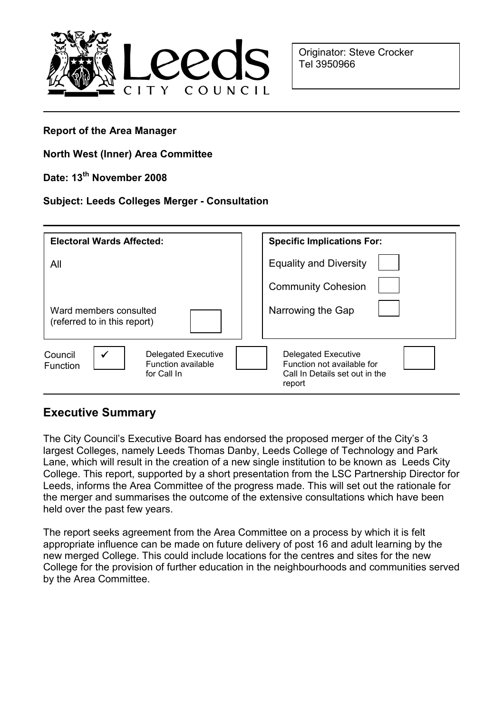

Originator: Steve Crocker Tel 3950966

#### Report of the Area Manager

### North West (Inner) Area Committee

## Date: 13<sup>th</sup> November 2008

### Subject: Leeds Colleges Merger - Consultation

| <b>Electoral Wards Affected:</b>                                                              | <b>Specific Implications For:</b>                                                                    |
|-----------------------------------------------------------------------------------------------|------------------------------------------------------------------------------------------------------|
| All                                                                                           | <b>Equality and Diversity</b>                                                                        |
|                                                                                               | <b>Community Cohesion</b>                                                                            |
| Ward members consulted<br>(referred to in this report)                                        | Narrowing the Gap                                                                                    |
| Council<br><b>Delegated Executive</b><br><b>Function available</b><br>Function<br>for Call In | <b>Delegated Executive</b><br>Function not available for<br>Call In Details set out in the<br>report |

## Executive Summary

The City Council's Executive Board has endorsed the proposed merger of the City's 3 largest Colleges, namely Leeds Thomas Danby, Leeds College of Technology and Park Lane, which will result in the creation of a new single institution to be known as Leeds City College. This report, supported by a short presentation from the LSC Partnership Director for Leeds, informs the Area Committee of the progress made. This will set out the rationale for the merger and summarises the outcome of the extensive consultations which have been held over the past few years.

The report seeks agreement from the Area Committee on a process by which it is felt appropriate influence can be made on future delivery of post 16 and adult learning by the new merged College. This could include locations for the centres and sites for the new College for the provision of further education in the neighbourhoods and communities served by the Area Committee.